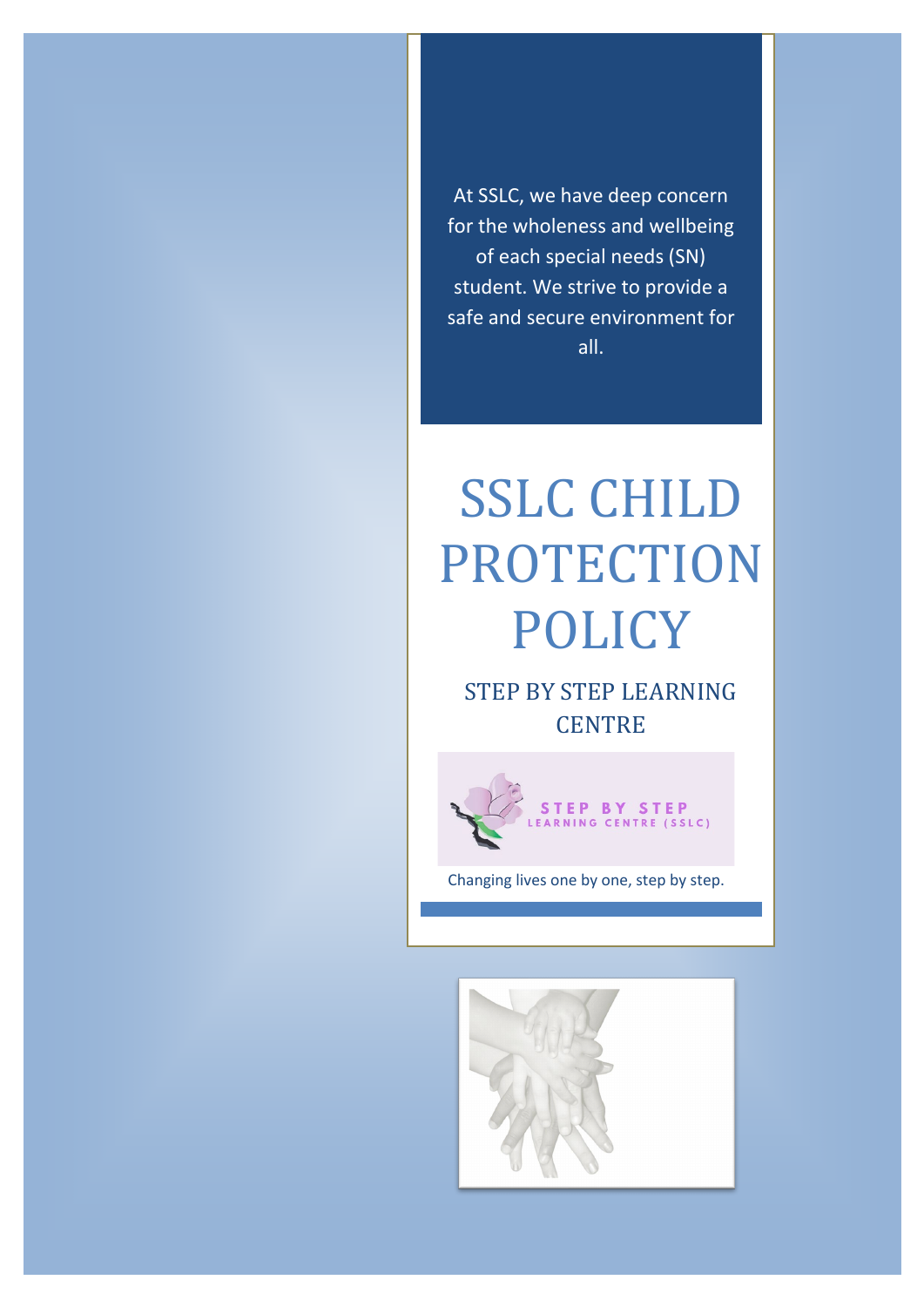At SSLC, we have deep concern for the wholeness and wellbeing of each special needs (SN) student. We strive to provide a safe and secure environment for all.

# SSLC CHILD PROTECTION POLICY

STEP BY STEP LEARNING **CENTRE** 



Changing lives one by one, step by step.

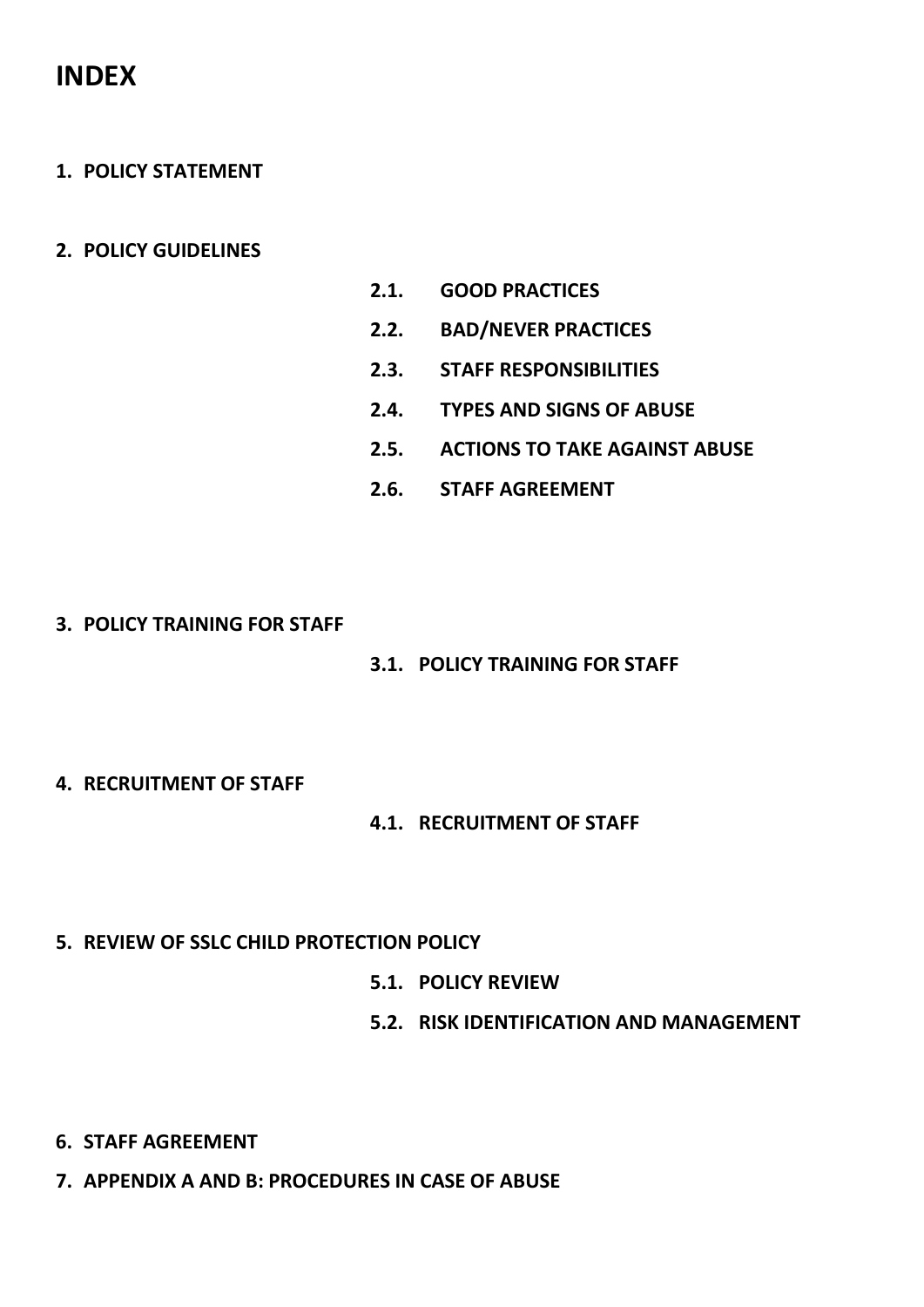# **INDEX**

- **1. POLICY STATEMENT**
- **2. POLICY GUIDELINES**
- **2.1. GOOD PRACTICES**
- **2.2. BAD/NEVER PRACTICES**
- **2.3. STAFF RESPONSIBILITIES**
- **2.4. TYPES AND SIGNS OF ABUSE**
- **2.5. ACTIONS TO TAKE AGAINST ABUSE**
- **2.6. STAFF AGREEMENT**
- **3. POLICY TRAINING FOR STAFF**
- **3.1. POLICY TRAINING FOR STAFF**
- **4. RECRUITMENT OF STAFF**
- **4.1. RECRUITMENT OF STAFF**
- **5. REVIEW OF SSLC CHILD PROTECTION POLICY**
	- **5.1. POLICY REVIEW**
	- **5.2. RISK IDENTIFICATION AND MANAGEMENT**

- **6. STAFF AGREEMENT**
- **7. APPENDIX A AND B: PROCEDURES IN CASE OF ABUSE**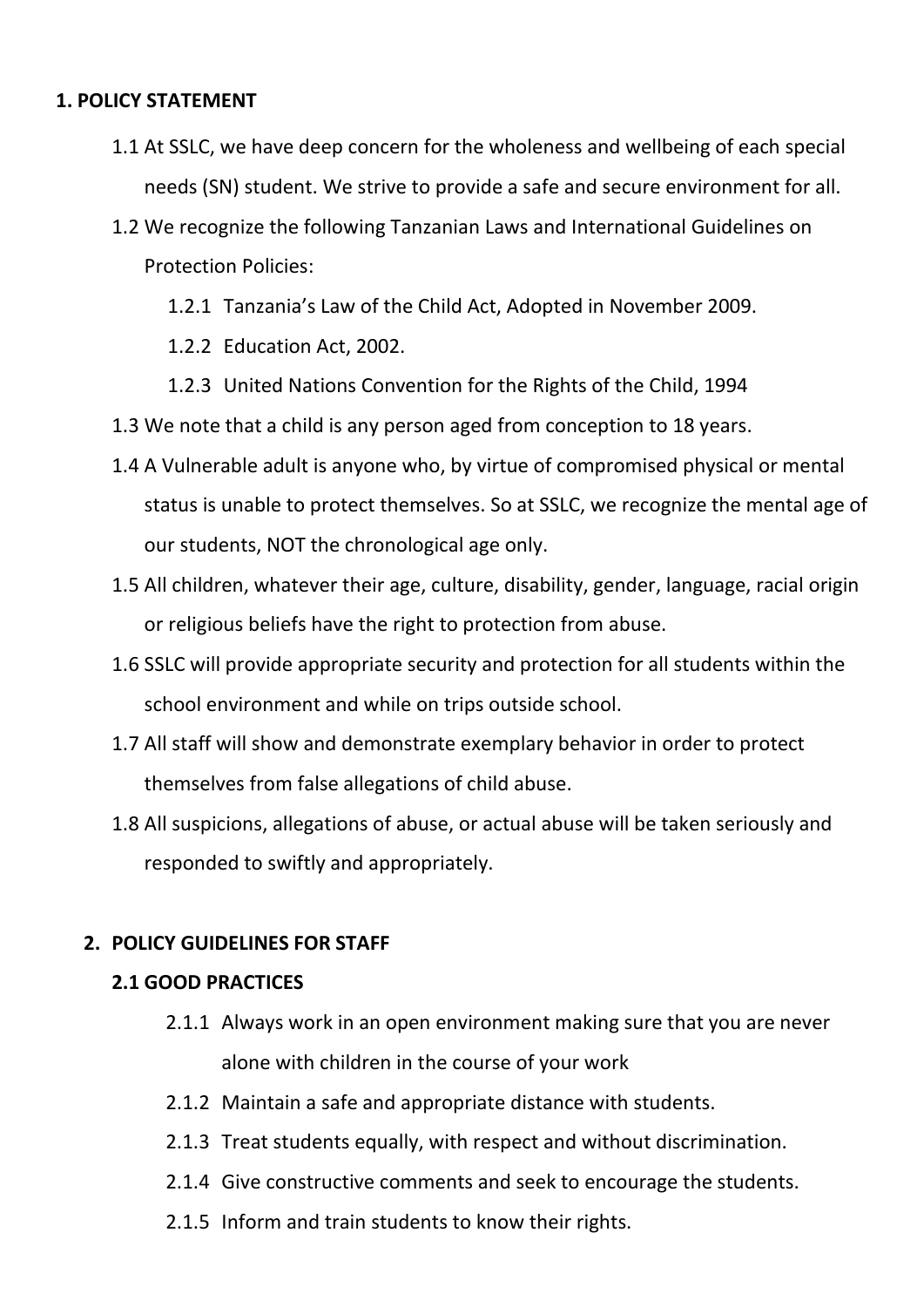# **1. POLICY STATEMENT**

- 1.1 At SSLC, we have deep concern for the wholeness and wellbeing of each special needs (SN) student. We strive to provide a safe and secure environment for all.
- 1.2 We recognize the following Tanzanian Laws and International Guidelines on Protection Policies:
	- 1.2.1 Tanzania's Law of the Child Act, Adopted in November 2009.
	- 1.2.2 Education Act, 2002.
	- 1.2.3 United Nations Convention for the Rights of the Child, 1994
- 1.3 We note that a child is any person aged from conception to 18 years.
- 1.4 A Vulnerable adult is anyone who, by virtue of compromised physical or mental status is unable to protect themselves. So at SSLC, we recognize the mental age of our students, NOT the chronological age only.
- 1.5 All children, whatever their age, culture, disability, gender, language, racial origin or religious beliefs have the right to protection from abuse.
- 1.6 SSLC will provide appropriate security and protection for all students within the school environment and while on trips outside school.
- 1.7 All staff will show and demonstrate exemplary behavior in order to protect themselves from false allegations of child abuse.
- 1.8 All suspicions, allegations of abuse, or actual abuse will be taken seriously and responded to swiftly and appropriately.

# **2. POLICY GUIDELINES FOR STAFF**

# **2.1 GOOD PRACTICES**

- 2.1.1 Always work in an open environment making sure that you are never alone with children in the course of your work
- 2.1.2 Maintain a safe and appropriate distance with students.
- 2.1.3 Treat students equally, with respect and without discrimination.
- 2.1.4 Give constructive comments and seek to encourage the students.
- 2.1.5 Inform and train students to know their rights.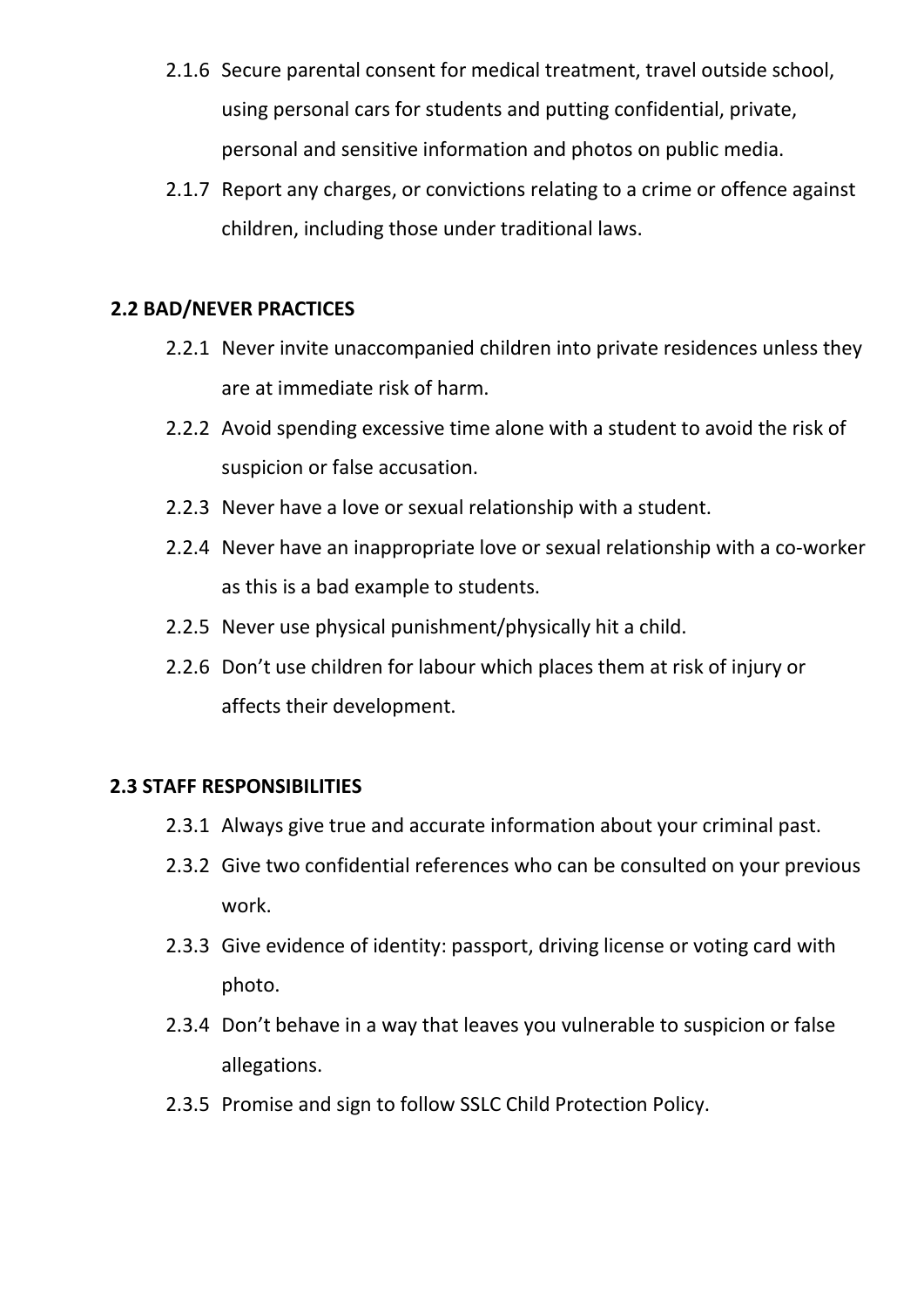- 2.1.6 Secure parental consent for medical treatment, travel outside school, using personal cars for students and putting confidential, private, personal and sensitive information and photos on public media.
- 2.1.7 Report any charges, or convictions relating to a crime or offence against children, including those under traditional laws.

# **2.2 BAD/NEVER PRACTICES**

- 2.2.1 Never invite unaccompanied children into private residences unless they are at immediate risk of harm.
- 2.2.2 Avoid spending excessive time alone with a student to avoid the risk of suspicion or false accusation.
- 2.2.3 Never have a love or sexual relationship with a student.
- 2.2.4 Never have an inappropriate love or sexual relationship with a co-worker as this is a bad example to students.
- 2.2.5 Never use physical punishment/physically hit a child.
- 2.2.6 Don't use children for labour which places them at risk of injury or affects their development.

# **2.3 STAFF RESPONSIBILITIES**

- 2.3.1 Always give true and accurate information about your criminal past.
- 2.3.2 Give two confidential references who can be consulted on your previous work.
- 2.3.3 Give evidence of identity: passport, driving license or voting card with photo.
- 2.3.4 Don't behave in a way that leaves you vulnerable to suspicion or false allegations.
- 2.3.5 Promise and sign to follow SSLC Child Protection Policy.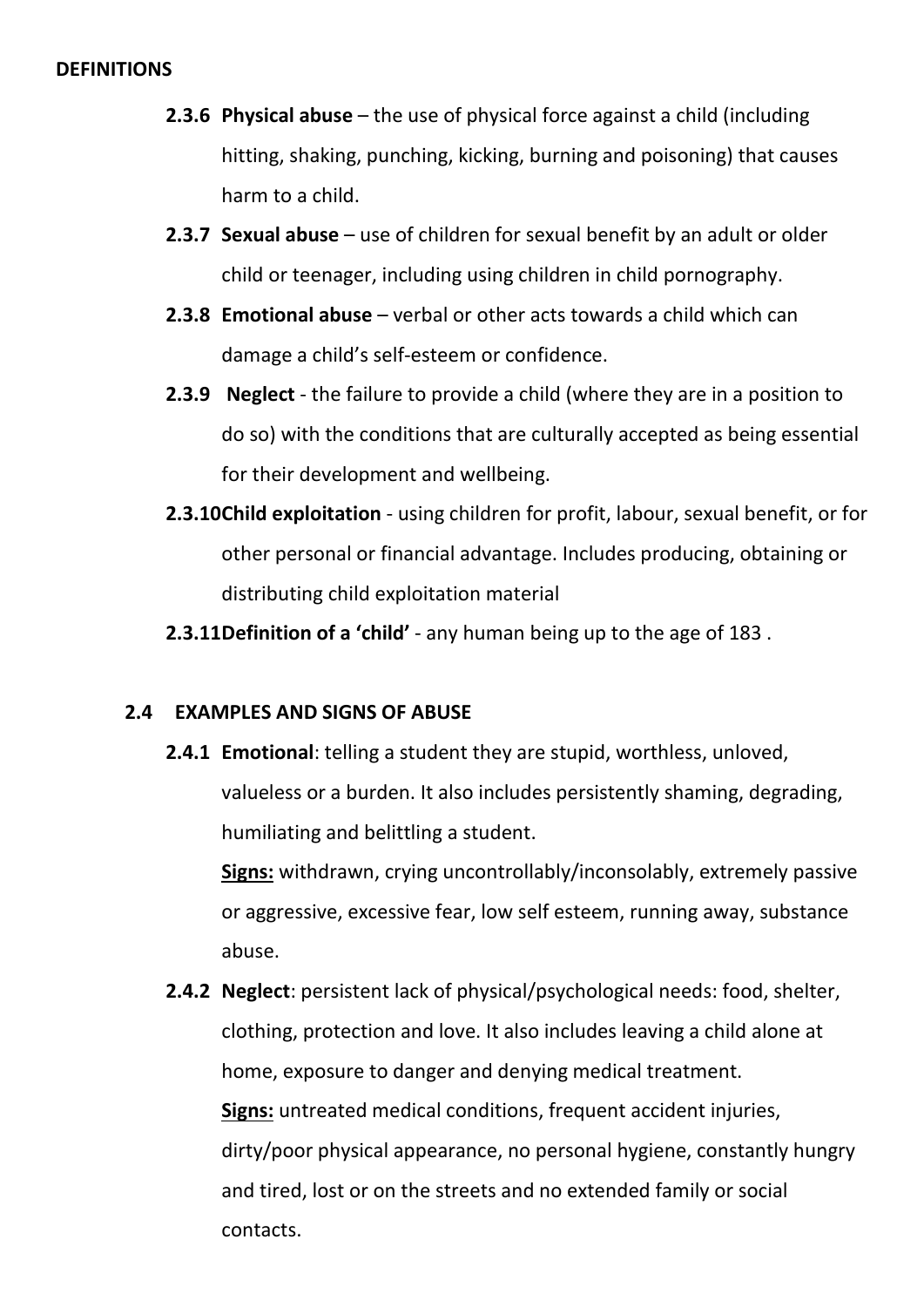#### **DEFINITIONS**

- **2.3.6 Physical abuse** the use of physical force against a child (including hitting, shaking, punching, kicking, burning and poisoning) that causes harm to a child.
- **2.3.7 Sexual abuse** use of children for sexual benefit by an adult or older child or teenager, including using children in child pornography.
- **2.3.8 Emotional abuse** verbal or other acts towards a child which can damage a child's self-esteem or confidence.
- **2.3.9 Neglect** the failure to provide a child (where they are in a position to do so) with the conditions that are culturally accepted as being essential for their development and wellbeing.
- **2.3.10Child exploitation** using children for profit, labour, sexual benefit, or for other personal or financial advantage. Includes producing, obtaining or distributing child exploitation material
- **2.3.11Definition of a 'child'** any human being up to the age of 183 .

# **2.4 EXAMPLES AND SIGNS OF ABUSE**

**2.4.1 Emotional**: telling a student they are stupid, worthless, unloved, valueless or a burden. It also includes persistently shaming, degrading, humiliating and belittling a student.

**Signs:** withdrawn, crying uncontrollably/inconsolably, extremely passive or aggressive, excessive fear, low self esteem, running away, substance abuse.

**2.4.2 Neglect**: persistent lack of physical/psychological needs: food, shelter, clothing, protection and love. It also includes leaving a child alone at home, exposure to danger and denying medical treatment. **Signs:** untreated medical conditions, frequent accident injuries, dirty/poor physical appearance, no personal hygiene, constantly hungry and tired, lost or on the streets and no extended family or social contacts.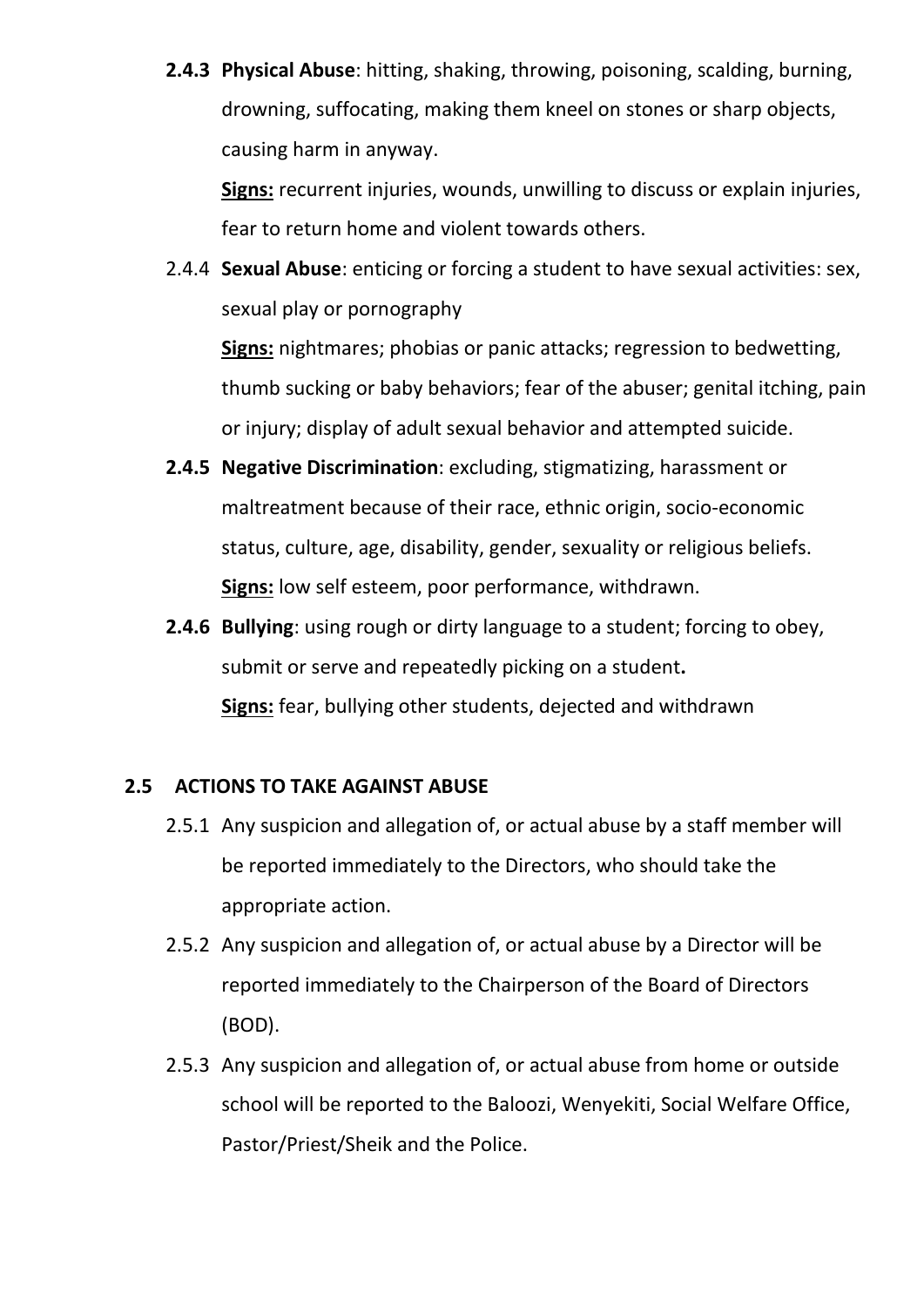**2.4.3 Physical Abuse**: hitting, shaking, throwing, poisoning, scalding, burning, drowning, suffocating, making them kneel on stones or sharp objects, causing harm in anyway.

**Signs:** recurrent injuries, wounds, unwilling to discuss or explain injuries, fear to return home and violent towards others.

2.4.4 **Sexual Abuse**: enticing or forcing a student to have sexual activities: sex, sexual play or pornography

**Signs:** nightmares; phobias or panic attacks; regression to bedwetting, thumb sucking or baby behaviors; fear of the abuser; genital itching, pain or injury; display of adult sexual behavior and attempted suicide.

- **2.4.5 Negative Discrimination**: excluding, stigmatizing, harassment or maltreatment because of their race, ethnic origin, socio-economic status, culture, age, disability, gender, sexuality or religious beliefs. **Signs:** low self esteem, poor performance, withdrawn.
- **2.4.6 Bullying**: using rough or dirty language to a student; forcing to obey, submit or serve and repeatedly picking on a student**. Signs:** fear, bullying other students, dejected and withdrawn

# **2.5 ACTIONS TO TAKE AGAINST ABUSE**

- 2.5.1 Any suspicion and allegation of, or actual abuse by a staff member will be reported immediately to the Directors, who should take the appropriate action.
- 2.5.2 Any suspicion and allegation of, or actual abuse by a Director will be reported immediately to the Chairperson of the Board of Directors (BOD).
- 2.5.3 Any suspicion and allegation of, or actual abuse from home or outside school will be reported to the Baloozi, Wenyekiti, Social Welfare Office, Pastor/Priest/Sheik and the Police.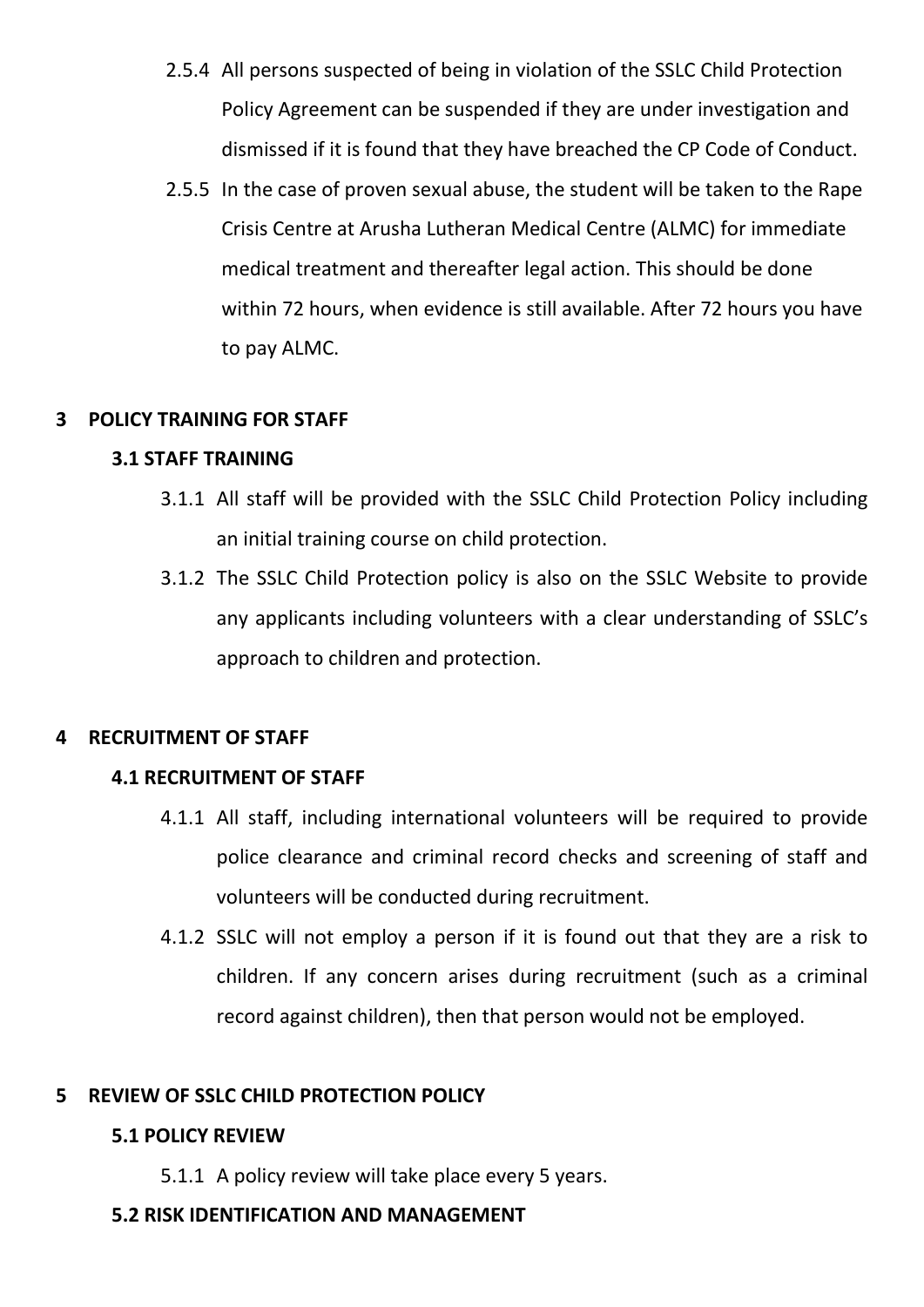- 2.5.4 All persons suspected of being in violation of the SSLC Child Protection Policy Agreement can be suspended if they are under investigation and dismissed if it is found that they have breached the CP Code of Conduct.
- 2.5.5 In the case of proven sexual abuse, the student will be taken to the Rape Crisis Centre at Arusha Lutheran Medical Centre (ALMC) for immediate medical treatment and thereafter legal action. This should be done within 72 hours, when evidence is still available. After 72 hours you have to pay ALMC.

#### **3 POLICY TRAINING FOR STAFF**

# **3.1 STAFF TRAINING**

- 3.1.1 All staff will be provided with the SSLC Child Protection Policy including an initial training course on child protection.
- 3.1.2 The SSLC Child Protection policy is also on the SSLC Website to provide any applicants including volunteers with a clear understanding of SSLC's approach to children and protection.

# **4 RECRUITMENT OF STAFF**

# **4.1 RECRUITMENT OF STAFF**

- 4.1.1 All staff, including international volunteers will be required to provide police clearance and criminal record checks and screening of staff and volunteers will be conducted during recruitment.
- 4.1.2 SSLC will not employ a person if it is found out that they are a risk to children. If any concern arises during recruitment (such as a criminal record against children), then that person would not be employed.

# **5 REVIEW OF SSLC CHILD PROTECTION POLICY**

# **5.1 POLICY REVIEW**

5.1.1 A policy review will take place every 5 years.

#### **5.2 RISK IDENTIFICATION AND MANAGEMENT**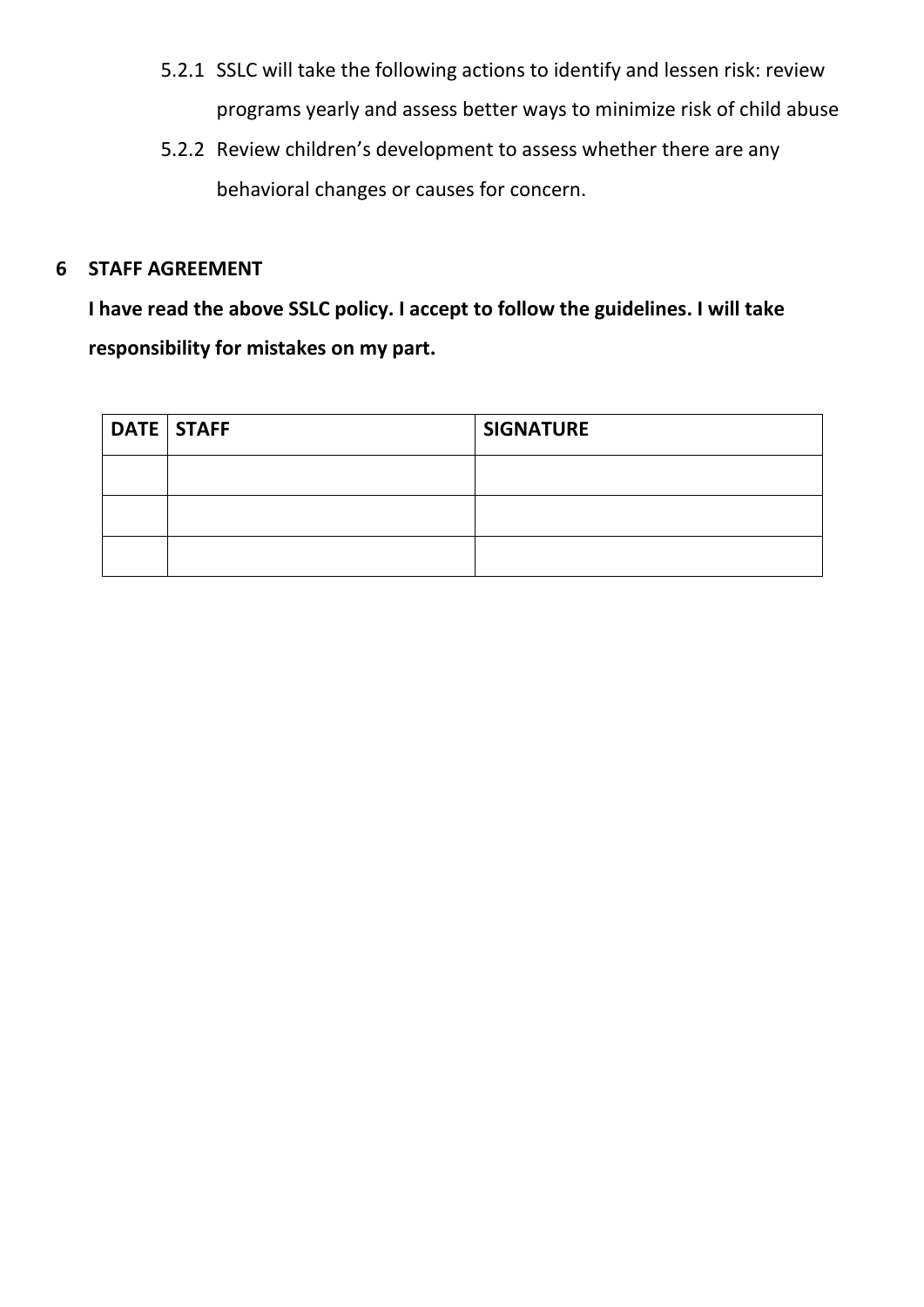- 5.2.1 SSLC will take the following actions to identify and lessen risk: review programs yearly and assess better ways to minimize risk of child abuse
- 5.2.2 Review children's development to assess whether there are any behavioral changes or causes for concern.

#### **6 STAFF AGREEMENT**

**I have read the above SSLC policy. I accept to follow the guidelines. I will take responsibility for mistakes on my part.**

| <b>DATE STAFF</b> | <b>SIGNATURE</b> |
|-------------------|------------------|
|                   |                  |
|                   |                  |
|                   |                  |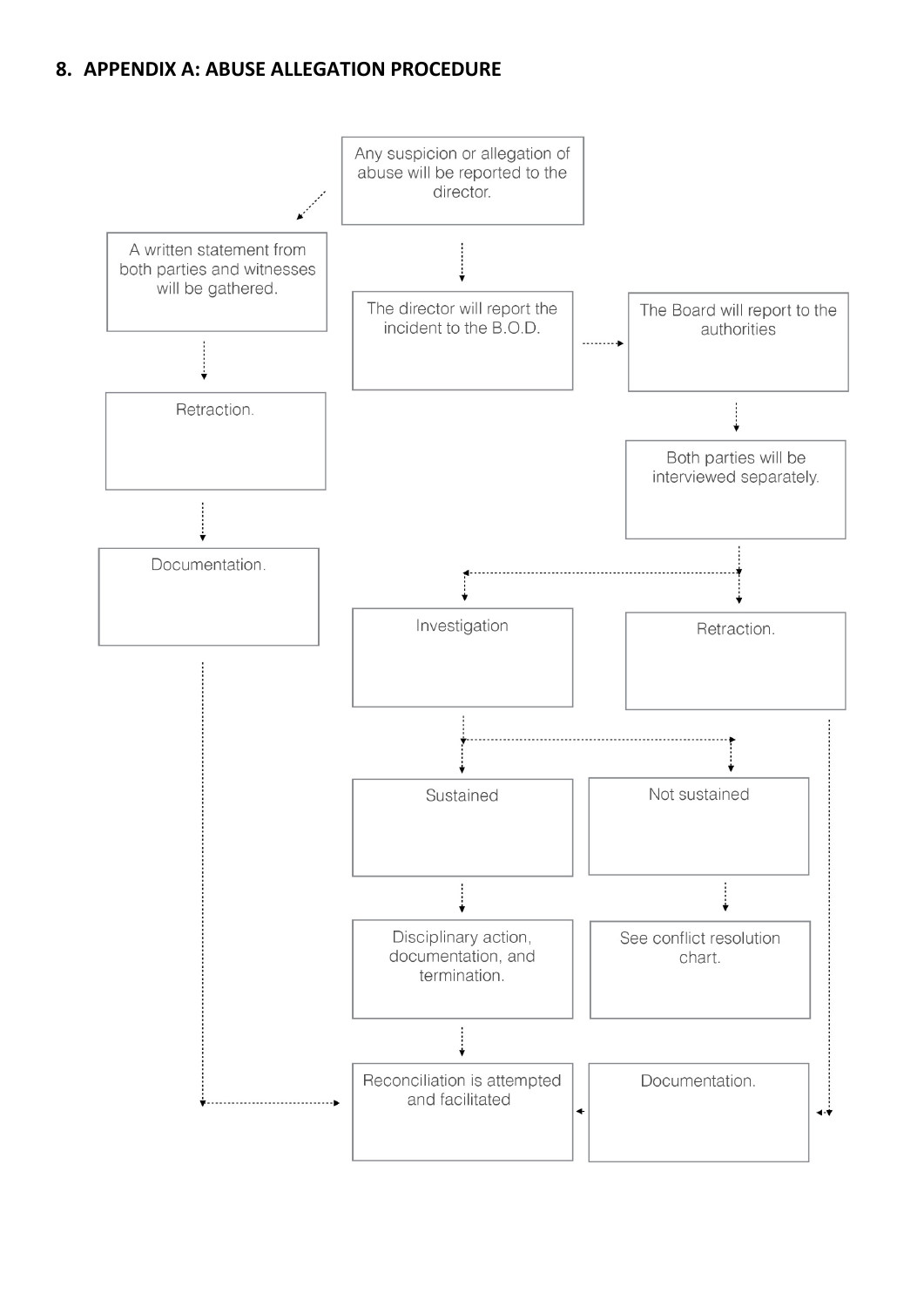#### **8. APPENDIX A: ABUSE ALLEGATION PROCEDURE**